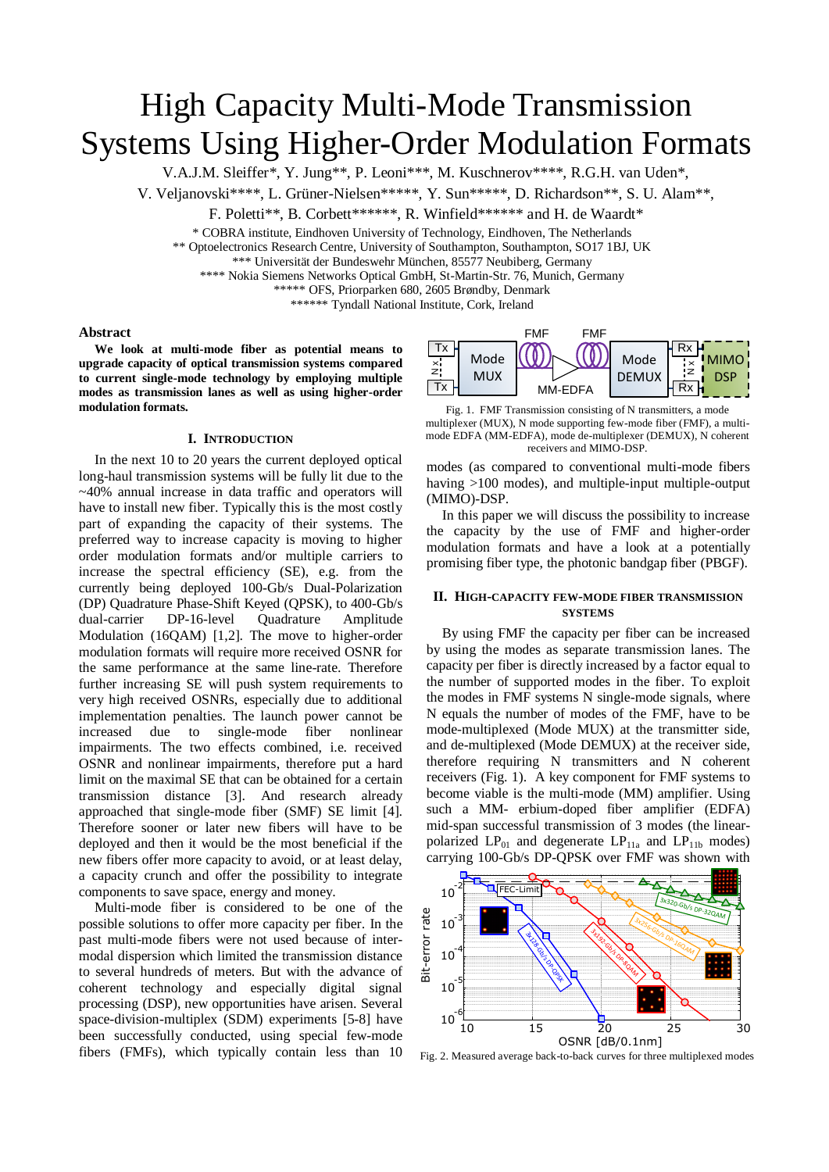# High Capacity Multi-Mode Transmission Systems Using Higher-Order Modulation Formats

V.A.J.M. Sleiffer\*, Y. Jung\*\*, P. Leoni\*\*\*, M. Kuschnerov\*\*\*\*, R.G.H. van Uden\*,

V. Veljanovski\*\*\*\*, L. Grüner-Nielsen\*\*\*\*\*, Y. Sun\*\*\*\*\*, D. Richardson\*\*, S. U. Alam\*\*,

F. Poletti\*\*, B. Corbett\*\*\*\*\*\*, R. Winfield\*\*\*\*\*\* and H. de Waardt\*

\* COBRA institute, Eindhoven University of Technology, Eindhoven, The Netherlands

\*\* Optoelectronics Research Centre, University of Southampton, Southampton, SO17 1BJ, UK

\*\*\* Universität der Bundeswehr München, 85577 Neubiberg, Germany

\*\*\*\* Nokia Siemens Networks Optical GmbH, St-Martin-Str. 76, Munich, Germany

\*\*\*\*\* OFS, Priorparken 680, 2605 Brøndby, Denmark

\*\*\*\*\*\* Tyndall National Institute, Cork, Ireland

#### **Abstract**

**We look at multi-mode fiber as potential means to upgrade capacity of optical transmission systems compared to current single-mode technology by employing multiple modes as transmission lanes as well as using higher-order modulation formats.** 

#### **I. INTRODUCTION**

In the next 10 to 20 years the current deployed optical long-haul transmission systems will be fully lit due to the ~40% annual increase in data traffic and operators will have to install new fiber. Typically this is the most costly part of expanding the capacity of their systems. The preferred way to increase capacity is moving to higher order modulation formats and/or multiple carriers to increase the spectral efficiency (SE), e.g. from the currently being deployed 100-Gb/s Dual-Polarization (DP) Quadrature Phase-Shift Keyed (QPSK), to 400-Gb/s dual-carrier DP-16-level Quadrature Amplitude Modulation (16QAM) [1,2]. The move to higher-order modulation formats will require more received OSNR for the same performance at the same line-rate. Therefore further increasing SE will push system requirements to very high received OSNRs, especially due to additional implementation penalties. The launch power cannot be increased due to single-mode fiber nonlinear impairments. The two effects combined, i.e. received OSNR and nonlinear impairments, therefore put a hard limit on the maximal SE that can be obtained for a certain transmission distance [3]. And research already approached that single-mode fiber (SMF) SE limit [4]. Therefore sooner or later new fibers will have to be deployed and then it would be the most beneficial if the new fibers offer more capacity to avoid, or at least delay, a capacity crunch and offer the possibility to integrate components to save space, energy and money.

Multi-mode fiber is considered to be one of the possible solutions to offer more capacity per fiber. In the past multi-mode fibers were not used because of intermodal dispersion which limited the transmission distance to several hundreds of meters. But with the advance of coherent technology and especially digital signal processing (DSP), new opportunities have arisen. Several space-division-multiplex (SDM) experiments [5-8] have been successfully conducted, using special few-mode fibers (FMFs), which typically contain less than 10



Fig. 1. FMF Transmission consisting of N transmitters, a mode multiplexer (MUX), N mode supporting few-mode fiber (FMF), a multimode EDFA (MM-EDFA), mode de-multiplexer (DEMUX), N coherent receivers and MIMO-DSP.

modes (as compared to conventional multi-mode fibers having >100 modes), and multiple-input multiple-output (MIMO)-DSP.

In this paper we will discuss the possibility to increase the capacity by the use of FMF and higher-order modulation formats and have a look at a potentially promising fiber type, the photonic bandgap fiber (PBGF).

### **II. HIGH-CAPACITY FEW-MODE FIBER TRANSMISSION SYSTEMS**

By using FMF the capacity per fiber can be increased by using the modes as separate transmission lanes. The capacity per fiber is directly increased by a factor equal to the number of supported modes in the fiber. To exploit the modes in FMF systems N single-mode signals, where N equals the number of modes of the FMF, have to be mode-multiplexed (Mode MUX) at the transmitter side, and de-multiplexed (Mode DEMUX) at the receiver side, therefore requiring N transmitters and N coherent receivers (Fig. 1). A key component for FMF systems to become viable is the multi-mode (MM) amplifier. Using such a MM- erbium-doped fiber amplifier (EDFA) mid-span successful transmission of 3 modes (the linearpolarized  $LP_{01}$  and degenerate  $LP_{11a}$  and  $LP_{11b}$  modes) carrying 100-Gb/s DP-QPSK over FMF was shown with



Fig. 2. Measured average back-to-back curves for three multiplexed modes